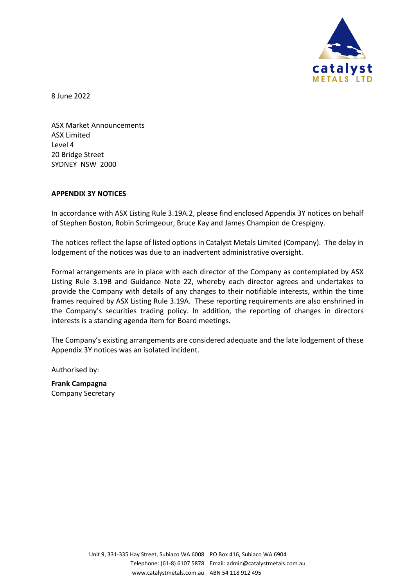

8 June 2022

ASX Market Announcements ASX Limited Level 4 20 Bridge Street SYDNEY NSW 2000

#### **APPENDIX 3Y NOTICES**

In accordance with ASX Listing Rule 3.19A.2, please find enclosed Appendix 3Y notices on behalf of Stephen Boston, Robin Scrimgeour, Bruce Kay and James Champion de Crespigny.

The notices reflect the lapse of listed options in Catalyst Metals Limited (Company). The delay in lodgement of the notices was due to an inadvertent administrative oversight.

Formal arrangements are in place with each director of the Company as contemplated by ASX Listing Rule 3.19B and Guidance Note 22, whereby each director agrees and undertakes to provide the Company with details of any changes to their notifiable interests, within the time frames required by ASX Listing Rule 3.19A. These reporting requirements are also enshrined in the Company's securities trading policy. In addition, the reporting of changes in directors interests is a standing agenda item for Board meetings.

The Company's existing arrangements are considered adequate and the late lodgement of these Appendix 3Y notices was an isolated incident.

Authorised by:

**Frank Campagna** Company Secretary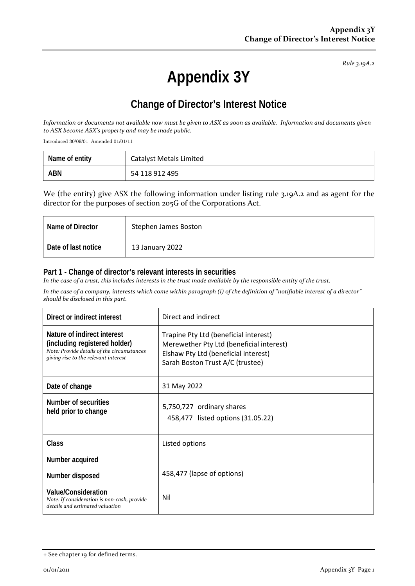# **Appendix 3Y**

# **Change of Director's Interest Notice**

*Information or documents not available now must be given to ASX as soon as available. Information and documents given to ASX become ASX's property and may be made public.*

Introduced 30/09/01 Amended 01/01/11

| Name of entity | <b>Catalyst Metals Limited</b> |
|----------------|--------------------------------|
| <b>ABN</b>     | 54 118 912 495                 |

We (the entity) give ASX the following information under listing rule 3.19A.2 and as agent for the director for the purposes of section 205G of the Corporations Act.

| Name of Director    | Stephen James Boston |
|---------------------|----------------------|
| Date of last notice | 13 January 2022      |

### **Part 1 - Change of director's relevant interests in securities**

*In the case of a trust, this includes interests in the trust made available by the responsible entity of the trust.*

| Direct or indirect interest                                                                                                                        | Direct and indirect                                                                                                                                           |
|----------------------------------------------------------------------------------------------------------------------------------------------------|---------------------------------------------------------------------------------------------------------------------------------------------------------------|
| Nature of indirect interest<br>(including registered holder)<br>Note: Provide details of the circumstances<br>giving rise to the relevant interest | Trapine Pty Ltd (beneficial interest)<br>Merewether Pty Ltd (beneficial interest)<br>Elshaw Pty Ltd (beneficial interest)<br>Sarah Boston Trust A/C (trustee) |
| Date of change                                                                                                                                     | 31 May 2022                                                                                                                                                   |
| Number of securities<br>held prior to change                                                                                                       | 5,750,727 ordinary shares<br>458,477 listed options (31.05.22)                                                                                                |
| <b>Class</b>                                                                                                                                       | Listed options                                                                                                                                                |
| Number acquired                                                                                                                                    |                                                                                                                                                               |
| Number disposed                                                                                                                                    | 458,477 (lapse of options)                                                                                                                                    |
| <b>Value/Consideration</b><br>Note: If consideration is non-cash, provide<br>details and estimated valuation                                       | Nil                                                                                                                                                           |

<sup>+</sup> See chapter 19 for defined terms.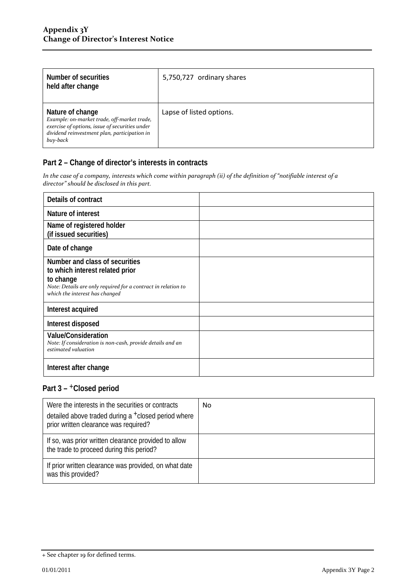| Number of securities<br>held after change                                                                                                                                     | 5,750,727 ordinary shares |
|-------------------------------------------------------------------------------------------------------------------------------------------------------------------------------|---------------------------|
| Nature of change<br>Example: on-market trade, off-market trade,<br>exercise of options, issue of securities under<br>dividend reinvestment plan, participation in<br>buy-back | Lapse of listed options.  |

*In the case of a company, interests which come within paragraph (ii) of the definition of "notifiable interest of a director" should be disclosed in this part.*

| Details of contract                                                                                                                                                               |  |
|-----------------------------------------------------------------------------------------------------------------------------------------------------------------------------------|--|
| Nature of interest                                                                                                                                                                |  |
| Name of registered holder<br>(if issued securities)                                                                                                                               |  |
| Date of change                                                                                                                                                                    |  |
| Number and class of securities<br>to which interest related prior<br>to change<br>Note: Details are only required for a contract in relation to<br>which the interest has changed |  |
| Interest acquired                                                                                                                                                                 |  |
| Interest disposed                                                                                                                                                                 |  |
| <b>Value/Consideration</b><br>Note: If consideration is non-cash, provide details and an<br>estimated valuation                                                                   |  |
| Interest after change                                                                                                                                                             |  |

| Were the interests in the securities or contracts<br>detailed above traded during a +closed period where<br>prior written clearance was required? | No |
|---------------------------------------------------------------------------------------------------------------------------------------------------|----|
| If so, was prior written clearance provided to allow<br>the trade to proceed during this period?                                                  |    |
| If prior written clearance was provided, on what date<br>was this provided?                                                                       |    |

<sup>+</sup> See chapter 19 for defined terms.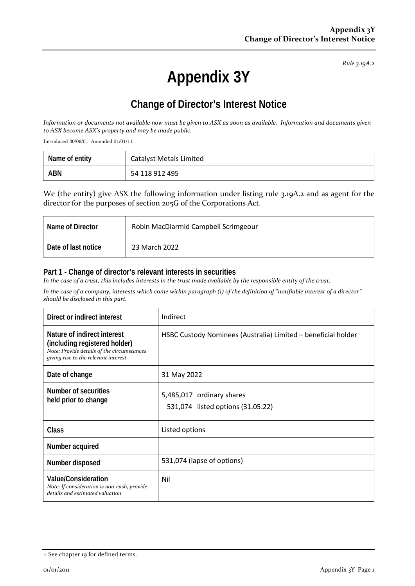# **Appendix 3Y**

## **Change of Director's Interest Notice**

*Information or documents not available now must be given to ASX as soon as available. Information and documents given to ASX become ASX's property and may be made public.*

Introduced 30/09/01 Amended 01/01/11

| Name of entity | Catalyst Metals Limited |
|----------------|-------------------------|
| <b>ABN</b>     | 54 118 912 495          |

We (the entity) give ASX the following information under listing rule 3.19A.2 and as agent for the director for the purposes of section 205G of the Corporations Act.

| Name of Director    | Robin MacDiarmid Campbell Scrimgeour |
|---------------------|--------------------------------------|
| Date of last notice | 23 March 2022                        |

### **Part 1 - Change of director's relevant interests in securities**

*In the case of a trust, this includes interests in the trust made available by the responsible entity of the trust.*

| Direct or indirect interest                                                                                                                        | Indirect                                                       |
|----------------------------------------------------------------------------------------------------------------------------------------------------|----------------------------------------------------------------|
| Nature of indirect interest<br>(including registered holder)<br>Note: Provide details of the circumstances<br>giving rise to the relevant interest | HSBC Custody Nominees (Australia) Limited - beneficial holder  |
| Date of change                                                                                                                                     | 31 May 2022                                                    |
| Number of securities<br>held prior to change                                                                                                       | 5,485,017 ordinary shares<br>531,074 listed options (31.05.22) |
| <b>Class</b>                                                                                                                                       | Listed options                                                 |
| Number acquired                                                                                                                                    |                                                                |
| Number disposed                                                                                                                                    | 531,074 (lapse of options)                                     |
| <b>Value/Consideration</b><br>Note: If consideration is non-cash, provide<br>details and estimated valuation                                       | Nil                                                            |

<sup>+</sup> See chapter 19 for defined terms.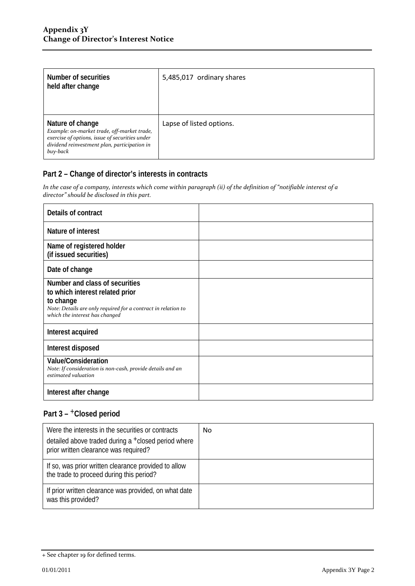| Number of securities<br>held after change                                                                                                                                     | 5,485,017 ordinary shares |
|-------------------------------------------------------------------------------------------------------------------------------------------------------------------------------|---------------------------|
| Nature of change<br>Example: on-market trade, off-market trade,<br>exercise of options, issue of securities under<br>dividend reinvestment plan, participation in<br>buy-back | Lapse of listed options.  |

*In the case of a company, interests which come within paragraph (ii) of the definition of "notifiable interest of a director" should be disclosed in this part.*

| Details of contract                                                                                                                                                               |  |
|-----------------------------------------------------------------------------------------------------------------------------------------------------------------------------------|--|
| Nature of interest                                                                                                                                                                |  |
| Name of registered holder<br>(if issued securities)                                                                                                                               |  |
| Date of change                                                                                                                                                                    |  |
| Number and class of securities<br>to which interest related prior<br>to change<br>Note: Details are only required for a contract in relation to<br>which the interest has changed |  |
| Interest acquired                                                                                                                                                                 |  |
| Interest disposed                                                                                                                                                                 |  |
| <b>Value/Consideration</b><br>Note: If consideration is non-cash, provide details and an<br>estimated valuation                                                                   |  |
| Interest after change                                                                                                                                                             |  |

| Were the interests in the securities or contracts<br>detailed above traded during a +closed period where<br>prior written clearance was required? | No |
|---------------------------------------------------------------------------------------------------------------------------------------------------|----|
| If so, was prior written clearance provided to allow<br>the trade to proceed during this period?                                                  |    |
| If prior written clearance was provided, on what date<br>was this provided?                                                                       |    |

<sup>+</sup> See chapter 19 for defined terms.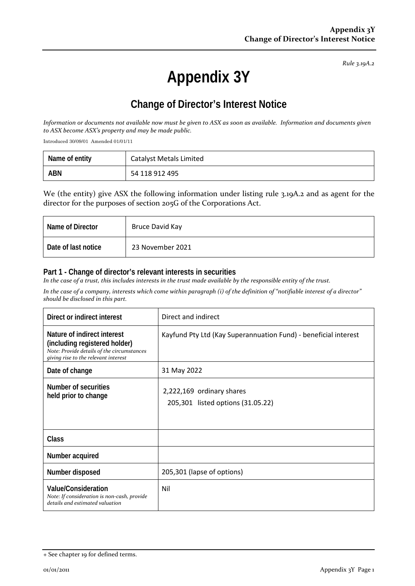# **Appendix 3Y**

# **Change of Director's Interest Notice**

*Information or documents not available now must be given to ASX as soon as available. Information and documents given to ASX become ASX's property and may be made public.*

Introduced 30/09/01 Amended 01/01/11

| Name of entity | Catalyst Metals Limited |
|----------------|-------------------------|
| <b>ABN</b>     | 54 118 912 495          |

We (the entity) give ASX the following information under listing rule 3.19A.2 and as agent for the director for the purposes of section 205G of the Corporations Act.

| Name of Director    | Bruce David Kay  |
|---------------------|------------------|
| Date of last notice | 23 November 2021 |

### **Part 1 - Change of director's relevant interests in securities**

*In the case of a trust, this includes interests in the trust made available by the responsible entity of the trust.*

| Direct or indirect interest                                                                                                                        | Direct and indirect                                             |
|----------------------------------------------------------------------------------------------------------------------------------------------------|-----------------------------------------------------------------|
| Nature of indirect interest<br>(including registered holder)<br>Note: Provide details of the circumstances<br>giving rise to the relevant interest | Kayfund Pty Ltd (Kay Superannuation Fund) - beneficial interest |
| Date of change                                                                                                                                     | 31 May 2022                                                     |
| Number of securities<br>held prior to change                                                                                                       | 2,222,169 ordinary shares<br>205,301 listed options (31.05.22)  |
| Class                                                                                                                                              |                                                                 |
| Number acquired                                                                                                                                    |                                                                 |
| Number disposed                                                                                                                                    | 205,301 (lapse of options)                                      |
| <b>Value/Consideration</b><br>Note: If consideration is non-cash, provide<br>details and estimated valuation                                       | Nil                                                             |

<sup>+</sup> See chapter 19 for defined terms.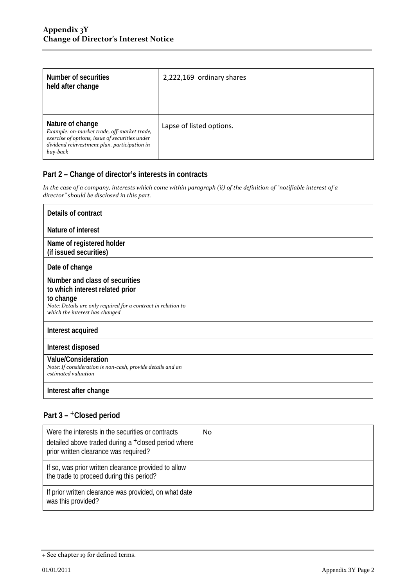| Number of securities<br>held after change                                                                                                                                     | 2,222,169 ordinary shares |
|-------------------------------------------------------------------------------------------------------------------------------------------------------------------------------|---------------------------|
| Nature of change<br>Example: on-market trade, off-market trade,<br>exercise of options, issue of securities under<br>dividend reinvestment plan, participation in<br>buy-back | Lapse of listed options.  |

*In the case of a company, interests which come within paragraph (ii) of the definition of "notifiable interest of a director" should be disclosed in this part.*

| Details of contract                                                                                                                                                               |  |
|-----------------------------------------------------------------------------------------------------------------------------------------------------------------------------------|--|
| Nature of interest                                                                                                                                                                |  |
| Name of registered holder<br>(if issued securities)                                                                                                                               |  |
| Date of change                                                                                                                                                                    |  |
| Number and class of securities<br>to which interest related prior<br>to change<br>Note: Details are only required for a contract in relation to<br>which the interest has changed |  |
| Interest acquired                                                                                                                                                                 |  |
| Interest disposed                                                                                                                                                                 |  |
| <b>Value/Consideration</b><br>Note: If consideration is non-cash, provide details and an<br>estimated valuation                                                                   |  |
| Interest after change                                                                                                                                                             |  |

| Were the interests in the securities or contracts<br>detailed above traded during a <sup>+</sup> closed period where<br>prior written clearance was required? | No |
|---------------------------------------------------------------------------------------------------------------------------------------------------------------|----|
| If so, was prior written clearance provided to allow<br>the trade to proceed during this period?                                                              |    |
| If prior written clearance was provided, on what date<br>was this provided?                                                                                   |    |

<sup>+</sup> See chapter 19 for defined terms.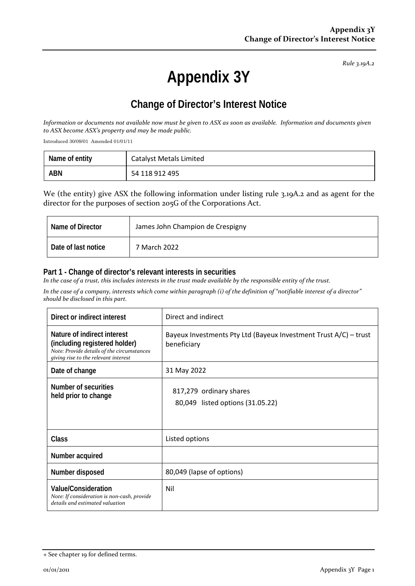# **Appendix 3Y**

## **Change of Director's Interest Notice**

*Information or documents not available now must be given to ASX as soon as available. Information and documents given to ASX become ASX's property and may be made public.*

Introduced 30/09/01 Amended 01/01/11

| Name of entity | <b>Catalyst Metals Limited</b> |
|----------------|--------------------------------|
| ABN            | 54 118 912 495                 |

We (the entity) give ASX the following information under listing rule 3.19A.2 and as agent for the director for the purposes of section 205G of the Corporations Act.

| Name of Director    | James John Champion de Crespigny |
|---------------------|----------------------------------|
| Date of last notice | 7 March 2022                     |

#### **Part 1 - Change of director's relevant interests in securities**

*In the case of a trust, this includes interests in the trust made available by the responsible entity of the trust.*

| Direct or indirect interest                                                                                                                        | Direct and indirect                                                             |
|----------------------------------------------------------------------------------------------------------------------------------------------------|---------------------------------------------------------------------------------|
| Nature of indirect interest<br>(including registered holder)<br>Note: Provide details of the circumstances<br>giving rise to the relevant interest | Bayeux Investments Pty Ltd (Bayeux Investment Trust A/C) - trust<br>beneficiary |
| Date of change                                                                                                                                     | 31 May 2022                                                                     |
| Number of securities<br>held prior to change                                                                                                       | 817,279 ordinary shares<br>80,049 listed options (31.05.22)                     |
| <b>Class</b>                                                                                                                                       | Listed options                                                                  |
| Number acquired                                                                                                                                    |                                                                                 |
| Number disposed                                                                                                                                    | 80,049 (lapse of options)                                                       |
| <b>Value/Consideration</b><br>Note: If consideration is non-cash, provide<br>details and estimated valuation                                       | Nil                                                                             |

<sup>+</sup> See chapter 19 for defined terms.